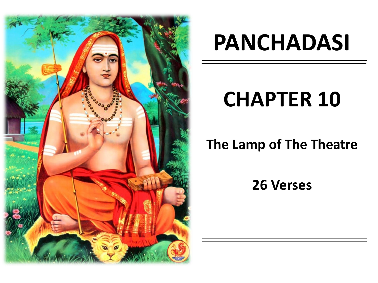

# **PANCHADASI**

# **CHAPTER 10**

# **The Lamp of The Theatre**

**26 Verses**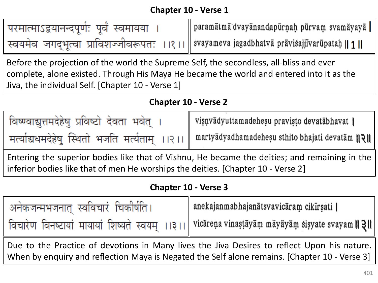| परमात्माऽद्वयानन्दपूर्ण: पूर्वं स्वमायया | paramātmā dvayānandapūrņah pūrvam svamāyayā                                                  |
|------------------------------------------|----------------------------------------------------------------------------------------------|
|                                          | स्वयमेव जगद्भूत्वा प्राविशज्जीवरूपतः ।।१।।    svayameva jagadbhatvā prāvisajjīvarūpataḥ    1 |

Before the projection of the world the Supreme Self, the secondless, all-bliss and ever complete, alone existed. Through His Maya He became the world and entered into it as the Jiva, the individual Self. [Chapter 10 - Verse 1]

### **Chapter 10 - Verse 2**

| विष्ण्वाद्युत्तमदेहेषु प्रविष्टो देवता भवेत् । | visnvādyuttamadehesu pravisto devatābhavat                                                    |
|------------------------------------------------|-----------------------------------------------------------------------------------------------|
|                                                | मत्याचिधमदेहेषु स्थितो भजति मर्त्यताम् ।।२।। martyadyadhamadehesu sthito bhajati devatam  २।। |

Entering the superior bodies like that of Vishnu, He became the deities; and remaining in the inferior bodies like that of men He worships the deities. [Chapter 10 - Verse 2]

#### **Chapter 10 - Verse 3**

| अनेकजन्मभजनात् स्वविचारं चिकीर्षति । | anekajanmabhajanātsvavicāram cikīrsati                                                            |
|--------------------------------------|---------------------------------------------------------------------------------------------------|
|                                      | विचारेण विनष्टायां मायायां शिष्यते स्वयम् ।।३।। vicarena vinașța yam mayayam sișyate svayam    ३॥ |

Due to the Practice of devotions in Many lives the Jiva Desires to reflect Upon his nature. When by enquiry and reflection Maya is Negated the Self alone remains. [Chapter 10 - Verse 3]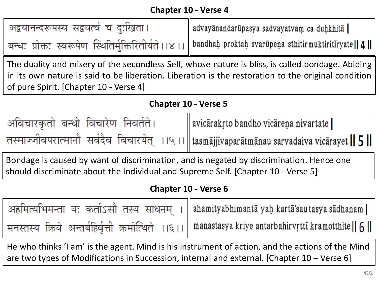| अद्वयानन्दरूपस्य सद्वयत्वं च दुःखिता। | advayānandarūpasya sadvayatvam ca duḥkhitā                                                                 |
|---------------------------------------|------------------------------------------------------------------------------------------------------------|
|                                       | बन्धः प्रोक्तः स्वरूपेण स्थितिर्मुक्तिरितीर्यते ।।४।। bandhah proktah svarūpeņa sthitirmuktiritiryate    4 |

The duality and misery of the secondless Self, whose nature is bliss, is called bondage. Abiding in its own nature is said to be liberation. Liberation is the restoration to the original condition of pure Spirit. [Chapter 10 - Verse 4]

#### **Chapter 10 - Verse 5**

| अविचारकृतो बन्धो विचारेण निवर्तते। | avicārakŗto bandho vicāreņa nivartate                                                         |
|------------------------------------|-----------------------------------------------------------------------------------------------|
|                                    | तस्माज्जीवपरात्मानौ सर्वदैव विचारयेत् ।।५।।    tasmājjīvaparātmānau sarvadaiva vicārayet    5 |

Bondage is caused by want of discrimination, and is negated by discrimination. Hence one should discriminate about the Individual and Supreme Self. [Chapter 10 - Verse 5]

## **Chapter 10 - Verse 6**

| अहमित्यभिमन्ता यः कर्ताऽसौ तस्य साधनम् ।   ahamityabhimanta yaḥ kartã'sautasya sadhanam               |
|-------------------------------------------------------------------------------------------------------|
| मनस्तस्य क्रिये अन्तर्बहिर्वृत्ती क्रमोत्थिते ।।६।। manastasya kriye antarbahirvrtti kramotthite    6 |

He who thinks 'I am' is the agent. Mind is his instrument of action, and the actions of the Mind are two types of Modifications in Succession, internal and external. [Chapter 10 – Verse 6]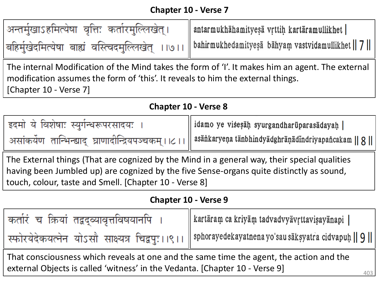| अन्तर्मुखाऽहमित्येषा वृत्तिः कर्तारमुल्लिखेत्। | antarmukhāhamityesā vrttiņ kartāramullikhet                                                            |
|------------------------------------------------|--------------------------------------------------------------------------------------------------------|
|                                                | बहिर्मुखेदमित्येषा बाह्यं वस्त्विदमुल्लिखेत् ।।७।।   bahirmukhedamityesa bahyam vastvidamullikhet    7 |

The internal Modification of the Mind takes the form of 'I'. It makes him an agent. The external modification assumes the form of 'this'. It reveals to him the external things. [Chapter 10 - Verse 7]

| इदमो ये विशेषाः स्युर्गन्धरूपरसादयः ।                  |                                                                                                    |
|--------------------------------------------------------|----------------------------------------------------------------------------------------------------|
| असांकर्येण तान्भिन्ह्याद् घ्राणादीन्द्रियपञ्चकम् ।।८।। | idamo ye viśesāḥ syurgandharūparasādayaḥ  <br>  asānkaryeņa tānbhindyādghrāņādindriyapancakam    8 |

The External things (That are cognized by the Mind in a general way, their special qualities having been Jumbled up) are cognized by the five Sense-organs quite distinctly as sound, touch, colour, taste and Smell. [Chapter 10 - Verse 8]

### **Chapter 10 - Verse 9**

| कर्तारं च क्रियां तद्वद्व्यावृत्तविषयानपि | kartāram ca kriyām tadvadvyāvŗttavisayānapi                                                           |
|-------------------------------------------|-------------------------------------------------------------------------------------------------------|
|                                           | स्फोरयेदेकयत्नेन योऽसौ साक्ष्यत्र चिद्वपुः । ।९ ।   sphorayedekayatnena yo'sau saksyatra cidvapuḥ   9 |

That consciousness which reveals at one and the same time the agent, the action and the external Objects is called 'witness' in the Vedanta. [Chapter 10 - Verse 9]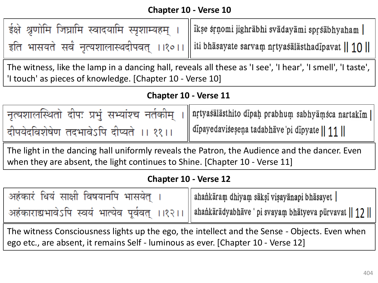| ईक्षे श्रृणोमि जिघ्रामि स्वादयामि स्पृशाम्यहम् ।                                           | ikse srņomi jighrābhi svādayāmi sprsābhyaham |
|--------------------------------------------------------------------------------------------|----------------------------------------------|
| इति भासयते सर्वं नृत्यशालास्थदीपवत् ।।१०।। iti bhasayate sarvam nrtyasalasthadipavat    10 |                                              |

The witness, like the lamp in a dancing hall, reveals all these as 'I see', 'I hear', 'I smell', 'I taste', 'I touch' as pieces of knowledge. [Chapter 10 - Verse 10]

#### **Chapter 10 - Verse 11**

|                                         | नृत्यशालस्थितो दीपः प्रभुं सभ्यांश्च नर्तकीम् ।    nrtyasalasthito dipah prabhum sabhyamsca nartakim |
|-----------------------------------------|------------------------------------------------------------------------------------------------------|
| दीपयेदविशेषेण तदभावेऽपि दीप्यते ।। ११।। | $\parallel$ dipayedaviseseņa tadabhāve pi dipyate $\parallel$ 11 $\parallel$                         |

The light in the dancing hall uniformly reveals the Patron, the Audience and the dancer. Even when they are absent, the light continues to Shine. [Chapter 10 - Verse 11]

#### **Chapter 10 - Verse 12**

| अहंकारं धियं साक्षी विषयानपि भासयेत् । | ahankāram dhiyam sāksī visayānapi bhāsayet                                                             |
|----------------------------------------|--------------------------------------------------------------------------------------------------------|
|                                        | अहंकाराद्यभावेऽपि स्वयं भात्येव पूर्ववत् ।।१२।।    ahankaradyabhave 'pi svayam bhatyeva purvavat    12 |
|                                        |                                                                                                        |

The witness Consciousness lights up the ego, the intellect and the Sense - Objects. Even when ego etc., are absent, it remains Self - luminous as ever. [Chapter 10 - Verse 12]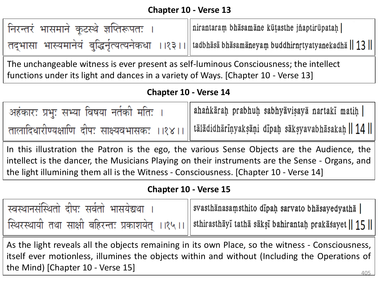| निरन्तरं भासमाने कूटस्थे ज्ञप्तिरूपतः । | nirantaram bhāsamāne kūțasthe jñaptirūpataḥ                                                         |
|-----------------------------------------|-----------------------------------------------------------------------------------------------------|
|                                         | तद्भासा भास्यमानेयं बुद्धिर्नृत्यत्यनेकधा ।।१३।। tadbhasa bhasamaneyam buddhirnrtyatyanekadha    13 |

The unchangeable witness is ever present as self-luminous Consciousness; the intellect functions under its light and dances in a variety of Ways. [Chapter 10 - Verse 13]

#### **Chapter 10 - Verse 14**

| अहंकारः प्रभुः सभ्या विषया नर्तकी मतिः । | ahankārah prabhuh sabhyāvisayā nartakī matiņ                                                      |
|------------------------------------------|---------------------------------------------------------------------------------------------------|
|                                          | तालादिधारीण्यक्षाणि दीपः साक्ष्यवभासकः ।।१४।।    tālādidhārīṇyakṣāṇi dīpaḥ sākṣyavabhāsakaḥ    14 |

In this illustration the Patron is the ego, the various Sense Objects are the Audience, the intellect is the dancer, the Musicians Playing on their instruments are the Sense - Organs, and the light illumining them all is the Witness - Consciousness. [Chapter 10 - Verse 14]

#### **Chapter 10 - Verse 15**

| स्वस्थानसंस्थितो दीपः सर्वतो भासयेद्यथा । | svasthānasaṃsthito dīpaḥ sarvato bhāsayedyathā                                                         |
|-------------------------------------------|--------------------------------------------------------------------------------------------------------|
|                                           | स्थिरस्थायी तथा साक्षी बहिरन्तः प्रकाशयेत् ।।१५।। sthirasthayi tatha saksi bahirantah prakasayet    15 |

405 As the light reveals all the objects remaining in its own Place, so the witness - Consciousness, itself ever motionless, illumines the objects within and without (Including the Operations of the Mind) [Chapter 10 - Verse 15]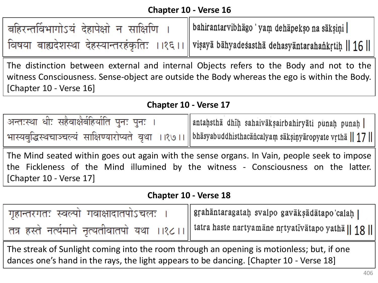| बहिरन्तर्विभागोऽयं देहापेक्षो न साक्षिणि । | bahirantarvibhāgo 'yam dehāpekso na sāksiņi                                                     |
|--------------------------------------------|-------------------------------------------------------------------------------------------------|
|                                            | विषया बाह्यदेशस्था देहस्यान्तरहंकृतिः ।।१६।।    viṣaya bahyadesastha dehasyantarahankrtih    16 |

The distinction between external and internal Objects refers to the Body and not to the witness Consciousness. Sense-object are outside the Body whereas the ego is within the Body. [Chapter 10 - Verse 16]

#### **Chapter 10 - Verse 17**

| अन्तःस्था धीः सहैवाक्षैर्बहिर्याति पुनः पुनः                                                                 | antahsthā dhīḥ sahaivākṣairbahiryāti punaḥ punaḥ |
|--------------------------------------------------------------------------------------------------------------|--------------------------------------------------|
| भास्यबुद्धिस्थचाञ्चल्यं साक्षिण्यारोप्यते वृथा ।।१७।। bhasyabuddhisthacan calyam saksinyaropyate vrtha    17 |                                                  |

The Mind seated within goes out again with the sense organs. In Vain, people seek to impose the Fickleness of the Mind illumined by the witness - Consciousness on the latter. [Chapter 10 - Verse 17]

#### **Chapter 10 - Verse 18**

| गृहान्तरगतः स्वल्पो गवाक्षादातपोऽचलः | gŗahāntaragataḥ svalpo gavākṣādātapo calaḥ                                                     |
|--------------------------------------|------------------------------------------------------------------------------------------------|
|                                      | तत्र हस्ते नर्त्यमाने नृत्यतीवातपो यथा ।।१८।। tatra haste nartyamane nrtyativatapo yatha    18 |

The streak of Sunlight coming into the room through an opening is motionless; but, if one dances one's hand in the rays, the light appears to be dancing. [Chapter 10 - Verse 18]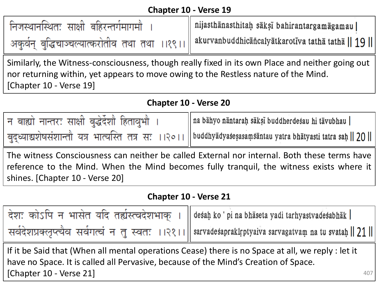| निजस्थानस्थितः साक्षी बहिरन्तर्गमागमौ | nijasthānasthitaḥ sākṣī bahirantargamāgamau                                                      |
|---------------------------------------|--------------------------------------------------------------------------------------------------|
|                                       | अकुर्वन् बुद्धिचाञ्चल्यात्करोतीव तथा तथा ।।१९।। akurvanbuddhicāñcalyātkarotīva tathā tathā    19 |

Similarly, the Witness-consciousness, though really fixed in its own Place and neither going out nor returning within, yet appears to move owing to the Restless nature of the Mind. [Chapter 10 - Verse 19]

#### **Chapter 10 - Verse 20**

| न बाह्यो नान्तरः साक्षी बुद्धेर्देशौ हितावुभौ । | na bāhyo nāntarah sāksī buddherdesau hi tāvubhau                                                               |
|-------------------------------------------------|----------------------------------------------------------------------------------------------------------------|
|                                                 | बुद्ध्याद्यशेषसंशान्तौ यत्र भात्यस्ति तत्र सः ।।२०।।   buddhyadyasesasamsantau yatra bhatyasti tatra saḥ    20 |

The witness Consciousness can neither be called External nor internal. Both these terms have reference to the Mind. When the Mind becomes fully tranquil, the witness exists where it shines. [Chapter 10 - Verse 20]

#### **Chapter 10 - Verse 21**

| देश: कोऽपि न भासेत यदि तर्ह्यस्त्वदेशभाक् । desah ko'pi na bhaseta yadi tarhyastvadesabhak |                                                                                                         |
|--------------------------------------------------------------------------------------------|---------------------------------------------------------------------------------------------------------|
|                                                                                            | सर्वदेशप्रक्लृप्त्यैव सर्वगत्वं न तु स्वतः ।।२१।। sarvadesaprakirptyaiva sarvagatvam na tu svatah    21 |

If it be Said that (When all mental operations Cease) there is no Space at all, we reply : let it have no Space. It is called all Pervasive, because of the Mind's Creation of Space. [Chapter 10 - Verse 21]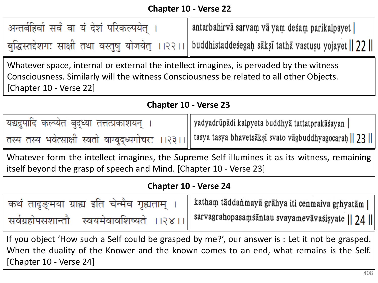| अन्तर्बहिर्वा सर्वं वा यं देशं परिकल्पयेत् | antarbahirvā sarvam vā yam desam parikalpayet                                                          |
|--------------------------------------------|--------------------------------------------------------------------------------------------------------|
|                                            | बुद्धिस्तद्देशगः साक्षी तथा वस्तुषु योजयेत् ।।२२।। buddhistaddesegah saksi tatha vastusu yojayet    22 |

Whatever space, internal or external the intellect imagines, is pervaded by the witness Consciousness. Similarly will the witness Consciousness be related to all other Objects. [Chapter 10 - Verse 22]

#### **Chapter 10 - Verse 23**

| यद्यद्रुपादि कल्प्येत बुद्ध्या तत्तत्प्रकाशयन् । | yadyadrūpādi kalpyeta buddhyā tattatprakāśayan                                                              |
|--------------------------------------------------|-------------------------------------------------------------------------------------------------------------|
|                                                  | तस्य तस्य भवेत्साक्षी स्वतो वाग्बुद्ध्यगोचरः ।।२३।।   tasya tasya bhavetsaksi svato vagbuddhyagocarah    23 |

Whatever form the intellect imagines, the Supreme Self illumines it as its witness, remaining itself beyond the grasp of speech and Mind. [Chapter 10 - Verse 23]

#### **Chapter 10 - Verse 24**

| कथं तादृङ्मया ग्राह्य इति चेन्मैव गृह्यताम् | katham tāddanmayā grāhya iti cenmaiva grhyatām                         |
|---------------------------------------------|------------------------------------------------------------------------|
| सर्वग्रहोपसशान्तौ                           | स्वयमेवावशिष्यते ।।२४।। sarvagrahopasaṃśāntau svayamevāvaśiṣyate    24 |

If you object 'How such a Self could be grasped by me?', our answer is : Let it not be grasped. When the duality of the Knower and the known comes to an end, what remains is the Self. [Chapter 10 - Verse 24]